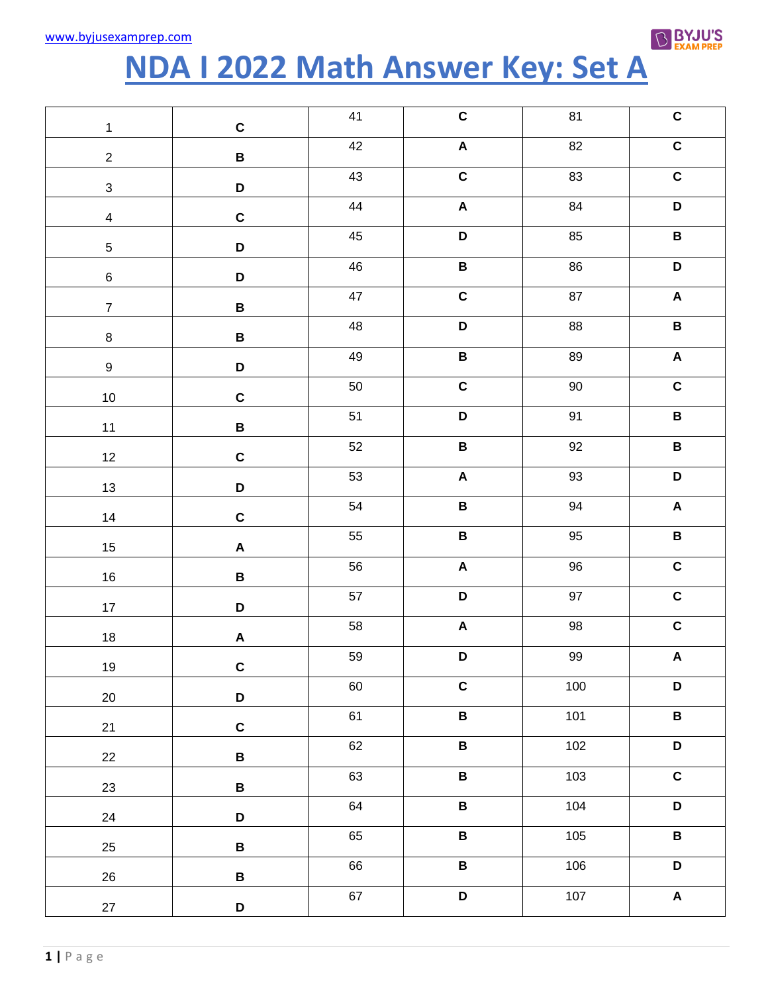

## NDA I 2022 Math Answer Key: Set A

| $\mathbf{1}$   | $\mathbf{C}$              | 41     | $\mathbf C$               | 81     | $\mathbf C$               |
|----------------|---------------------------|--------|---------------------------|--------|---------------------------|
| $\overline{2}$ | $\, {\bf B} \,$           | 42     | $\boldsymbol{\mathsf{A}}$ | 82     | $\mathbf C$               |
| 3              | $\mathbf D$               | 43     | $\mathbf C$               | 83     | $\mathbf C$               |
| $\overline{4}$ | $\mathbf{C}$              | 44     | $\boldsymbol{\mathsf{A}}$ | 84     | D                         |
| 5              | D                         | 45     | D                         | 85     | B                         |
| $6\phantom{a}$ | D                         | 46     | $\, {\bf B} \,$           | 86     | D                         |
| $\overline{7}$ | $\, {\bf B} \,$           | $47\,$ | $\mathbf C$               | 87     | $\pmb{\mathsf{A}}$        |
| 8              | $\, {\bf B} \,$           | 48     | D                         | 88     | B                         |
| 9              | D                         | 49     | $\, {\bf B} \,$           | 89     | $\pmb{\mathsf{A}}$        |
| $10$           | $\mathbf C$               | 50     | $\mathbf c$               | $90\,$ | $\mathbf c$               |
| 11             | $\, {\bf B} \,$           | 51     | D                         | 91     | B                         |
| 12             | $\mathbf C$               | 52     | $\, {\bf B} \,$           | 92     | $\, {\bf B} \,$           |
| 13             | D                         | 53     | $\pmb{\mathsf{A}}$        | 93     | D                         |
| 14             | $\mathbf C$               | 54     | $\, {\bf B} \,$           | 94     | $\boldsymbol{\mathsf{A}}$ |
| 15             | $\boldsymbol{\mathsf{A}}$ | 55     | $\, {\bf B} \,$           | 95     | $\, {\bf B} \,$           |
|                |                           | 56     | $\boldsymbol{\mathsf{A}}$ | $96\,$ | $\mathbf c$               |
| 16             | $\, {\bf B}$              | 57     | D                         | 97     | $\mathbf c$               |
| 17             | $\mathsf D$               | 58     | $\boldsymbol{\mathsf{A}}$ | $98\,$ | $\overline{c}$            |
| 18             | $\pmb{\mathsf{A}}$        | 59     | D                         | 99     | $\overline{A}$            |
| 19             | $\mathbf C$               | 60     | $\mathbf c$               | 100    | D                         |
| 20             | $\mathsf D$               | 61     | $\, {\bf B} \,$           | 101    | $\, {\bf B} \,$           |
| 21             | $\mathbf{C}$              | 62     | $\overline{\mathbf{B}}$   | 102    | $\overline{\mathsf{D}}$   |
| 22             | $\, {\bf B} \,$           | 63     | $\, {\bf B} \,$           | 103    | $\overline{c}$            |
| 23             | $\, {\bf B} \,$           | 64     | $\, {\bf B} \,$           | 104    | D                         |
| 24             | D                         | 65     | $\, {\bf B} \,$           | 105    | $\, {\bf B} \,$           |
| 25             | $\, {\bf B} \,$           | 66     | $\overline{B}$            | 106    | D                         |
| 26             | $\, {\bf B} \,$           | 67     | D                         | $107$  | $\boldsymbol{\mathsf{A}}$ |
| $27\,$         | D                         |        |                           |        |                           |